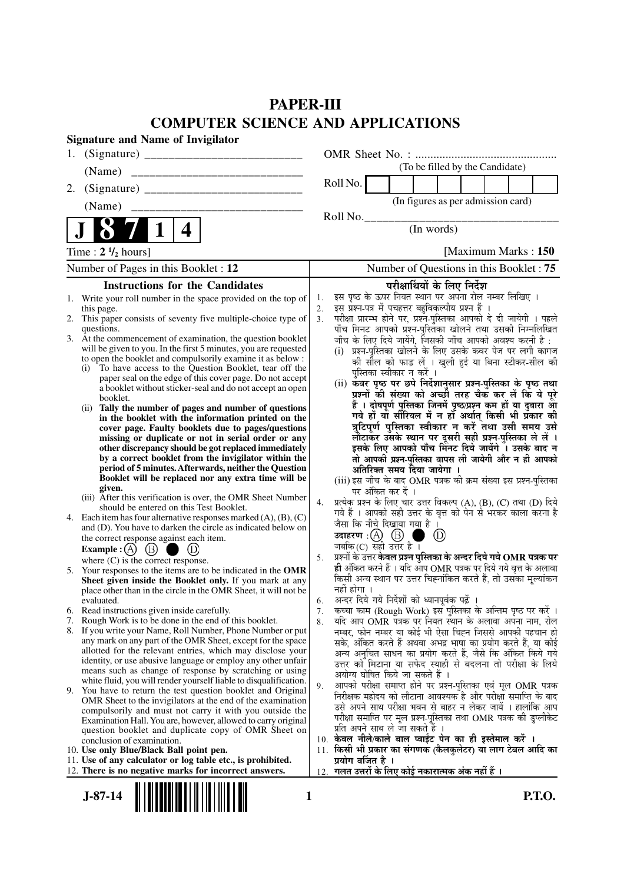# **PAPER-III COMPUTER SCIENCE AND APPLICATIONS**

|    | <b>Signature and Name of Invigilator</b>                                                                                          |                      |                                                                                                                                    |
|----|-----------------------------------------------------------------------------------------------------------------------------------|----------------------|------------------------------------------------------------------------------------------------------------------------------------|
| 1. |                                                                                                                                   |                      |                                                                                                                                    |
|    | (Name)                                                                                                                            |                      | (To be filled by the Candidate)                                                                                                    |
| 2. |                                                                                                                                   |                      | Roll No.                                                                                                                           |
|    | (Name)                                                                                                                            |                      | (In figures as per admission card)                                                                                                 |
|    |                                                                                                                                   |                      | Roll No.                                                                                                                           |
|    | 4                                                                                                                                 |                      | (In words)                                                                                                                         |
|    | Time: $2 \frac{1}{2}$ hours]                                                                                                      |                      | [Maximum Marks: 150]                                                                                                               |
|    | Number of Pages in this Booklet : 12                                                                                              |                      | Number of Questions in this Booklet: 75                                                                                            |
|    | <b>Instructions for the Candidates</b>                                                                                            |                      | परीक्षार्थियों के लिए निर्देश                                                                                                      |
|    | 1. Write your roll number in the space provided on the top of                                                                     | 1.                   | इस पृष्ठ के ऊपर नियत स्थान पर अपना रोल नम्बर लिखिए ।<br>इस प्रश्न-पत्र में पचहत्तर बहुविकल्पीय प्रश्न हैं ।                        |
|    | this page.<br>2. This paper consists of seventy five multiple-choice type of                                                      | 2.<br>3 <sub>1</sub> |                                                                                                                                    |
|    | questions.                                                                                                                        |                      | परीक्षा प्रारम्भ होने पर, प्रश्नॅ-पुस्तिका आपको दे दी जायेगी । पहले<br>पाँच मिनट आपको प्रश्न-पुस्तिका खोलने तथा उसकी निम्नलिखित    |
|    | 3. At the commencement of examination, the question booklet<br>will be given to you. In the first 5 minutes, you are requested    |                      | जाँच के लिए दिये जायेंगे, जिसकी जाँच आपको अवश्य करनी है :<br>(i) प्रश्न-पुस्तिका खोलने के लिए उसके कवर पेज पर लगी कागज             |
|    | to open the booklet and compulsorily examine it as below :                                                                        |                      | की सील को फाड़ लें । खुली हुई या बिना स्टीकर-सील की                                                                                |
|    | To have access to the Question Booklet, tear off the<br>(i)<br>paper seal on the edge of this cover page. Do not accept           |                      | पुस्तिका स्वीकार न करें ।                                                                                                          |
|    | a booklet without sticker-seal and do not accept an open                                                                          |                      | (ii) कवर पृष्ठ पर छपे निर्देशानुसार प्रश्न-पुस्तिका के पृष्ठ तथा                                                                   |
|    | booklet.                                                                                                                          |                      | प्रश्नों की संख्या को अच्छी तरह चैक कर लें कि ये पूरे                                                                              |
|    | Tally the number of pages and number of questions<br>(i)<br>in the booklet with the information printed on the                    |                      | हैं । दोषपूर्ण पुस्तिका जिनमें पृष्ठ/प्रश्न कम हों या दुबारा आ<br>गये हो या सीरियल में न हो अर्थात् किसी भी प्रकार की              |
|    | cover page. Faulty booklets due to pages/questions                                                                                |                      | त्रुटिपूर्ण पुस्तिका स्वीकार न करें तथा उसी समय उसे                                                                                |
|    | missing or duplicate or not in serial order or any<br>other discrepancy should be got replaced immediately                        |                      | लौटाकर उसके स्थान पर दूसरी सही प्रश्न-पुस्तिका ले लें ।<br>इसके लिए आपको पाँच मिनट दिये जायेंगे । उसके बाद न                       |
|    | by a correct booklet from the invigilator within the                                                                              |                      | तो आपकी प्रश्न-पुस्तिका वापस ली जायेगी और न ही आपको                                                                                |
|    | period of 5 minutes. Afterwards, neither the Question<br>Booklet will be replaced nor any extra time will be                      |                      | अतिरिक्त समय दिया जायेगा ।                                                                                                         |
|    | given.                                                                                                                            |                      | (iii) इस जाँच के बाद OMR पत्रक की क्रम संख्या इस प्रश्न-पुस्तिका<br>पर अंकित कर दें ।                                              |
|    | (iii) After this verification is over, the OMR Sheet Number<br>should be entered on this Test Booklet.                            | 4.                   | प्रत्येक प्रश्न के लिए चार उत्तर विकल्प (A), (B), (C) तथा (D) दिये                                                                 |
|    | 4. Each item has four alternative responses marked $(A)$ , $(B)$ , $(C)$                                                          |                      | गये हैं । आपको सही उत्तर के वृत्त को पेन से भरकर काला करना है                                                                      |
|    | and (D). You have to darken the circle as indicated below on                                                                      |                      | जैसा कि नीचे दिखाया गया है ।<br>$\circled{D}$                                                                                      |
|    | the correct response against each item.<br>(B)<br><b>Example</b> : $(A)$                                                          |                      | जबकि $(C)$ सही उत्तर है ।                                                                                                          |
|    | where $(C)$ is the correct response.                                                                                              | 5.                   | प्रश्नों के उत्तर <b>केवल प्रश्न पुस्तिका के अन्दर दिये गये OMR पत्रक पर</b>                                                       |
|    | 5. Your responses to the items are to be indicated in the OMR                                                                     |                      | ही अंकित करने हैं । यदि आप OMR पत्रक पर दिये गये वृत्त के अलावा<br>किसी अन्य स्थान पर उत्तर चिह्नांकित करते हैं, तो उसका मूल्यांकन |
|    | Sheet given inside the Booklet only. If you mark at any<br>place other than in the circle in the OMR Sheet, it will not be        |                      | नहीं होगा ।                                                                                                                        |
|    | evaluated.                                                                                                                        | 6.                   | अन्दर दिये गये निर्देशों को ध्यानपूर्वक पढ़ें ।                                                                                    |
| 7. | 6. Read instructions given inside carefully.<br>Rough Work is to be done in the end of this booklet.                              | 7.<br>8.             | कच्चा काम (Rough Work) इस पुस्तिका के अन्तिम पृष्ठ पर करें ।<br>यदि आप OMR पत्रक पर नियत स्थान के अलावा अपना नाम, रोल              |
| 8. | If you write your Name, Roll Number, Phone Number or put                                                                          |                      | नम्बर, फोन नम्बर या कोई भी ऐसा चिह्न जिससे आपकी पहचान हो                                                                           |
|    | any mark on any part of the OMR Sheet, except for the space                                                                       |                      | सके, अंकित करते हैं अथवा अभद्र भाषा का प्रयोग करते हैं, या कोई                                                                     |
|    | allotted for the relevant entries, which may disclose your<br>identity, or use abusive language or employ any other unfair        |                      | अन्य अनुचित साधन का प्रयोग करते हैं, जैसे कि अंकित किये गये<br>उत्तर को मिटाना या सफेद स्याही से बदलना तो परीक्षा के लिये          |
|    | means such as change of response by scratching or using                                                                           |                      | अयोग्य घोषित किये जा सकते हैं ।                                                                                                    |
|    | white fluid, you will render yourself liable to disqualification.<br>9. You have to return the test question booklet and Original | 9.                   | आपको परीक्षा समाप्त होने पर प्रश्न-पुस्तिका एवं मूल OMR पत्रक                                                                      |
|    | OMR Sheet to the invigilators at the end of the examination                                                                       |                      | निरीक्षक महोदय को लौटाना आवश्यक है और परीक्षा समाप्ति के बाद<br>उसे अपने साथ परीक्षा भवन से बाहर न लेकर जायें । हालांकि आप         |
|    | compulsorily and must not carry it with you outside the<br>Examination Hall. You are, however, allowed to carry original          |                      | परीक्षा समाप्ति पर मूल प्रश्न-पुस्तिका तथा OMR पत्रक की डुप्लीकेट                                                                  |
|    | question booklet and duplicate copy of OMR Sheet on                                                                               |                      | प्रति अपने साथ ले जा सकते हैं ।                                                                                                    |
|    | conclusion of examination.<br>10. Use only Blue/Black Ball point pen.                                                             |                      | 10. केवल नीले/काले बाल प्वाईंट पेन का ही इस्तेमाल करें ।<br>11. किसी भी प्रकार का संगणक (कैलकुलेटर) या लाग टेबल आदि का             |
|    | 11. Use of any calculator or log table etc., is prohibited.                                                                       |                      | प्रयोग वर्जित है ।                                                                                                                 |
|    | 12. There is no negative marks for incorrect answers.                                                                             |                      | 12.  गलत उत्तरों के लिए कोई नकारात्मक अंक नहीं हैं ।                                                                               |
|    | $J-87-14$<br>1                                                                                                                    |                      | <b>P.T.O.</b>                                                                                                                      |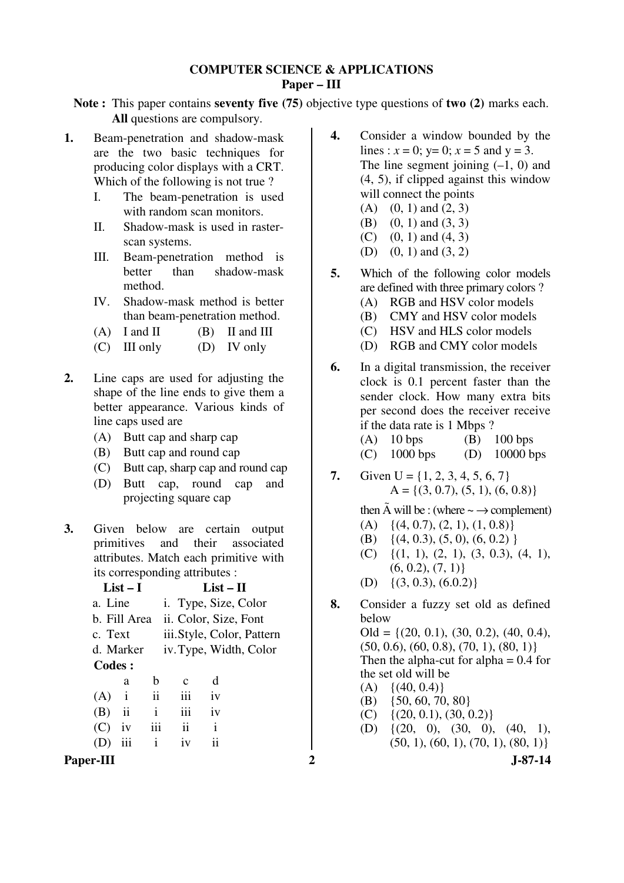## **COMPUTER SCIENCE & APPLICATIONS Paper – III**

**Note :** This paper contains **seventy five (75)** objective type questions of **two (2)** marks each. **All** questions are compulsory.

- **1.** Beam-penetration and shadow-mask are the two basic techniques for producing color displays with a CRT. Which of the following is not true?
	- I. The beam-penetration is used with random scan monitors.
	- II. Shadow-mask is used in rasterscan systems.
	- III. Beam-penetration method is better than shadow-mask method.
	- IV. Shadow-mask method is better than beam-penetration method.
	- (A) I and II  $(B)$  II and III
	- (C) III only (D) IV only
- **2.** Line caps are used for adjusting the shape of the line ends to give them a better appearance. Various kinds of line caps used are
	- (A) Butt cap and sharp cap
	- (B) Butt cap and round cap
	- (C) Butt cap, sharp cap and round cap
	- (D) Butt cap, round cap and projecting square cap
- **3.** Given below are certain output primitives and their associated attributes. Match each primitive with its corresponding attributes :

|               | $List-I$      |               | List – $\Pi$              |                        |  |  |
|---------------|---------------|---------------|---------------------------|------------------------|--|--|
| a. Line       |               |               |                           | i. Type, Size, Color   |  |  |
|               | b. Fill Area  |               | ii. Color, Size, Font     |                        |  |  |
| c. Text       |               |               | iii.Style, Color, Pattern |                        |  |  |
|               | d. Marker     |               |                           | iv. Type, Width, Color |  |  |
| <b>Codes:</b> |               |               |                           |                        |  |  |
|               | a             | h             | $\mathbf c$               | d                      |  |  |
| (A)           | $\mathbf{i}$  | $\mathbf{ii}$ | iii                       | iv                     |  |  |
| (B)           | $\mathbf{ii}$ | i             | iii                       | iv                     |  |  |
| (C)           | iv            | iii           | ii                        | i                      |  |  |
|               | iii           | $\mathbf{1}$  | iv                        | ŤŤ.                    |  |  |
|               |               |               |                           |                        |  |  |

- **4.** Consider a window bounded by the lines :  $x = 0$ ;  $y= 0$ ;  $x = 5$  and  $y = 3$ . The line segment joining  $(-1, 0)$  and (4, 5), if clipped against this window will connect the points
	- $(A)$   $(0, 1)$  and  $(2, 3)$
	- (B) (0, 1) and (3, 3)
	- $(C)$   $(0, 1)$  and  $(4, 3)$
	- (D) (0, 1) and (3, 2)
- **5.** Which of the following color models are defined with three primary colors ? (A) RGB and HSV color models
	- (B) CMY and HSV color models
	- (C) HSV and HLS color models
	- (D) RGB and CMY color models
- **6.** In a digital transmission, the receiver clock is 0.1 percent faster than the sender clock. How many extra bits per second does the receiver receive if the data rate is 1 Mbps ? (A)  $10 \text{ bps}$  (B)  $100 \text{ bps}$ (C) 1000 bps (D) 10000 bps
- **7.** Given  $U = \{1, 2, 3, 4, 5, 6, 7\}$  $A = \{(3, 0.7), (5, 1), (6, 0.8)\}\$
- then  $\tilde{A}$  will be : (where  $\sim \rightarrow$  complement) (A)  $\{(4, 0.7), (2, 1), (1, 0.8)\}\$ 
	- (B) { $(4, 0.3)$ ,  $(5, 0)$ ,  $(6, 0.2)$ }
	- (C)  $\{(1, 1), (2, 1), (3, 0.3), (4, 1),$  $(6, 0.2), (7, 1)$
	- (D)  $\{(3, 0.3), (6.0.2)\}\$
- **8.** Consider a fuzzy set old as defined below Old =  $\{(20, 0.1), (30, 0.2), (40, 0.4),\}$  $(50, 0.6), (60, 0.8), (70, 1), (80, 1)$ Then the alpha-cut for alpha  $= 0.4$  for the set old will be  $(A) \{ (40, 0.4) \}$  (B) {50, 60, 70, 80}  $(C) \{ (20, 0.1), (30, 0.2) \}$ (D) {(20, 0), (30, 0), (40, 1),
- Paper-III 2 J-87-14  $(50, 1), (60, 1), (70, 1), (80, 1)$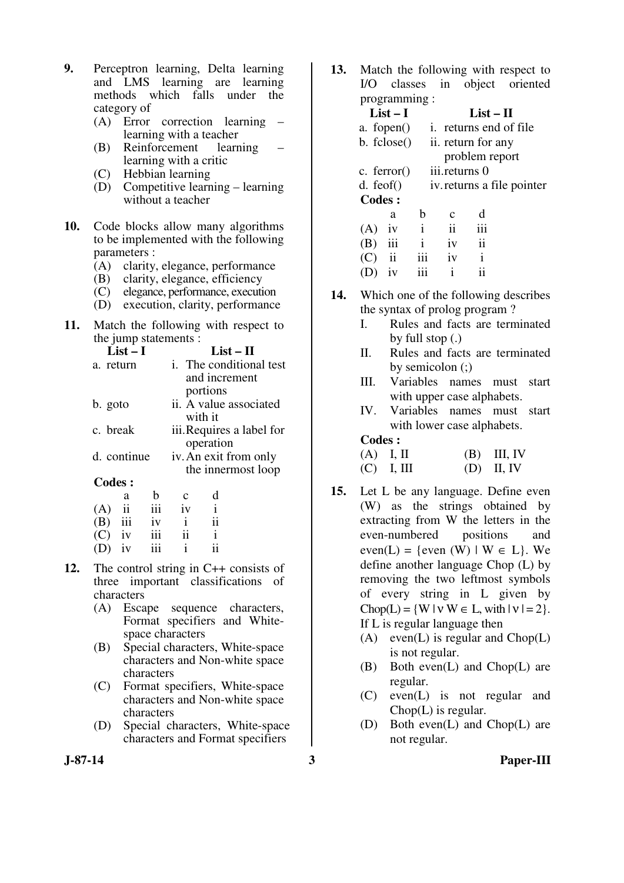- **9.** Perceptron learning, Delta learning and LMS learning are learning methods which falls under the category of
	- (A) Error correction learning learning with a teacher
	- $(B)$  Reinforcement learning with a critic
	- (C) Hebbian learning
	- (D) Competitive learning learning without a teacher
- **10.** Code blocks allow many algorithms to be implemented with the following parameters :
	- (A) clarity, elegance, performance
	- (B) clarity, elegance, efficiency
	- (C) elegance, performance, execution
	- (D) execution, clarity, performance
- **11.** Match the following with respect to the jump statements :

| $List-I$      |              |    | $List-II$     |                                |
|---------------|--------------|----|---------------|--------------------------------|
| a. return     |              |    |               | <i>i.</i> The conditional test |
|               |              |    | and increment |                                |
|               |              |    | portions      |                                |
| b. goto       |              |    |               | ii. A value associated         |
|               |              |    | with it       |                                |
| c. break      |              |    |               | iii. Requires a label for      |
|               |              |    | operation     |                                |
| d. continue   |              |    |               | iv. An exit from only          |
|               |              |    |               | the innermost loop             |
| <b>Codes:</b> |              |    |               |                                |
| a             | b            |    |               |                                |
|               | iii          | iv |               |                                |
|               | $\mathbf{L}$ |    |               |                                |

| $\cdot$ - $\cdot$ |     |    |    |
|-------------------|-----|----|----|
| $(B)$ iii         | iv  |    | 11 |
| $(C)$ iv          | 111 | 11 |    |
| $(D)$ iv          | 111 |    | 11 |

- **12.** The control string in C++ consists of three important classifications of characters
	- (A) Escape sequence characters, Format specifiers and Whitespace characters
	- (B) Special characters, White-space characters and Non-white space characters
	- (C) Format specifiers, White-space characters and Non-white space characters
	- (D) Special characters, White-space characters and Format specifiers

**13.** Match the following with respect to I/O classes in object oriented programming :

| $List-I$                   |     |                            | List – $\Pi$            |  |  |
|----------------------------|-----|----------------------------|-------------------------|--|--|
| a. fopen $()$              |     |                            | i. returns end of file. |  |  |
| b. fclose()                |     | ii. return for any         |                         |  |  |
|                            |     |                            | problem report          |  |  |
| c. ferror $()$             |     | iii.returns 0              |                         |  |  |
| $d.$ feof $()$             |     | iv. returns a file pointer |                         |  |  |
| <b>Codes:</b>              |     |                            |                         |  |  |
| a                          | h   | c                          | d                       |  |  |
| (A)<br>1V                  | i   | ii                         | iii                     |  |  |
| iii<br>(B)                 | i   | iv                         | ii                      |  |  |
| $\ddot{\mathbf{i}}$<br>(C) | 111 | 1V                         | i                       |  |  |
| 1V                         | 111 |                            | $\overline{11}$         |  |  |

- **14.** Which one of the following describes the syntax of prolog program ?
	- I. Rules and facts are terminated by full stop (.)
	- II. Rules and facts are terminated by semicolon (;)
	- III. Variables names must start with upper case alphabets.
	- IV. Variables names must start with lower case alphabets.

**Codes :** 

| $(A)$ I, II  | $(B)$ III, IV |
|--------------|---------------|
| $(C)$ I, III | $(D)$ II, IV  |

- **15.** Let L be any language. Define even (W) as the strings obtained by extracting from W the letters in the even-numbered positions and  $even(L) = {even (W) | W \in L}.$  We define another language Chop (L) by removing the two leftmost symbols of every string in L given by  $Chop(L) = \{ W | v W \in L, with | v | = 2 \}.$  If L is regular language then
	- (A) even(L) is regular and  $Chop(L)$ is not regular.
	- (B) Both even(L) and Chop(L) are regular.
	- (C) even(L) is not regular and Chop(L) is regular.
	- (D) Both even(L) and Chop(L) are not regular.

**J-87-14 3 Paper-III**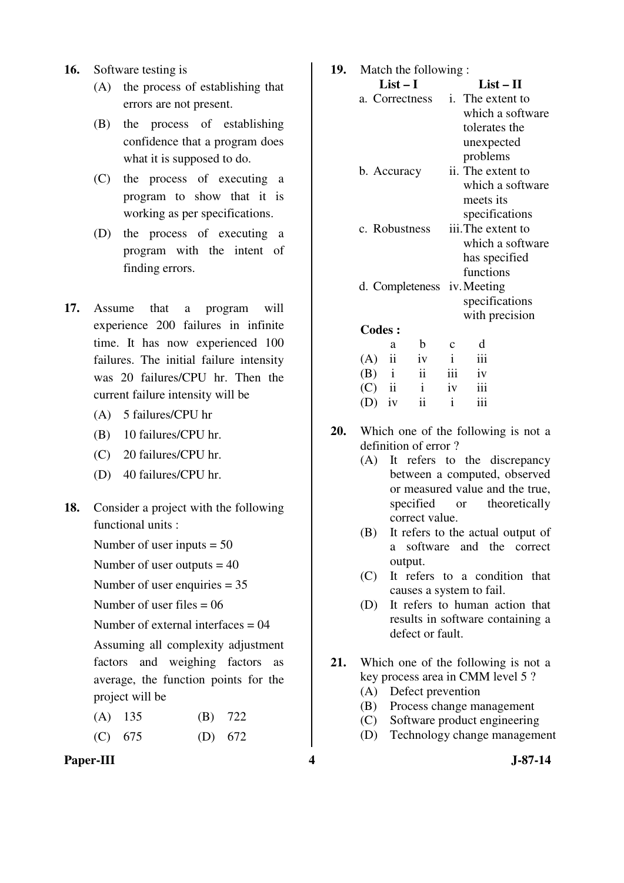- **16.** Software testing is
	- (A) the process of establishing that errors are not present.
	- (B) the process of establishing confidence that a program does what it is supposed to do.
	- (C) the process of executing a program to show that it is working as per specifications.
	- (D) the process of executing a program with the intent of finding errors.
- **17.** Assume that a program will experience 200 failures in infinite time. It has now experienced 100 failures. The initial failure intensity was 20 failures/CPU hr. Then the current failure intensity will be
	- (A) 5 failures/CPU hr
	- (B) 10 failures/CPU hr.
	- (C) 20 failures/CPU hr.
	- (D) 40 failures/CPU hr.
- **18.** Consider a project with the following functional units :
	- Number of user inputs  $= 50$
	- Number of user outputs  $= 40$
	- Number of user enquiries = 35
	- Number of user files  $= 06$
	- Number of external interfaces = 04
	- Assuming all complexity adjustment factors and weighing factors as average, the function points for the project will be
	- (A) 135 (B) 722
	- (C) 675 (D) 672
- Paper-III **4** J-87-14

| 19.<br>Match the following: |                |                             |                     |                |                                        |  |  |  |  |
|-----------------------------|----------------|-----------------------------|---------------------|----------------|----------------------------------------|--|--|--|--|
|                             |                | $List-I$                    |                     |                | $List-II$                              |  |  |  |  |
|                             | a. Correctness |                             |                     |                | i. The extent to                       |  |  |  |  |
|                             |                |                             |                     |                | which a software                       |  |  |  |  |
|                             |                |                             |                     |                | tolerates the                          |  |  |  |  |
|                             |                |                             |                     |                | unexpected                             |  |  |  |  |
|                             |                |                             |                     |                | problems                               |  |  |  |  |
|                             | b. Accuracy    |                             |                     |                | ii. The extent to                      |  |  |  |  |
|                             |                |                             |                     |                | which a software                       |  |  |  |  |
|                             |                |                             |                     |                | meets its                              |  |  |  |  |
|                             |                |                             |                     | specifications |                                        |  |  |  |  |
|                             | c. Robustness  |                             |                     |                | iii. The extent to<br>which a software |  |  |  |  |
|                             |                |                             |                     |                |                                        |  |  |  |  |
|                             |                |                             |                     | has specified  |                                        |  |  |  |  |
|                             |                |                             |                     | functions      |                                        |  |  |  |  |
|                             |                | d. Completeness iv. Meeting |                     |                |                                        |  |  |  |  |
|                             |                |                             |                     |                | specifications                         |  |  |  |  |
|                             |                |                             |                     |                | with precision                         |  |  |  |  |
|                             | <b>Codes:</b>  |                             |                     |                |                                        |  |  |  |  |
|                             |                | a                           | b                   | C              | d                                      |  |  |  |  |
|                             | (A)            | ii                          | iv                  | $\mathbf{i}$   | iii                                    |  |  |  |  |
|                             | $(B)$ i        |                             | $\ddot{\mathbf{i}}$ | iii            | iv                                     |  |  |  |  |
|                             | (C)            | ii                          | $\mathbf{i}$        | iv             | iii                                    |  |  |  |  |

**20.** Which one of the following is not a definition of error ?

 $(D)$  iv ii ii

- (A) It refers to the discrepancy between a computed, observed or measured value and the true, specified or theoretically correct value.
- (B) It refers to the actual output of a software and the correct output.
- (C) It refers to a condition that causes a system to fail.
- (D) It refers to human action that results in software containing a defect or fault.
- **21.** Which one of the following is not a key process area in CMM level 5 ?
	- (A) Defect prevention
	- (B) Process change management
	- (C) Software product engineering
	- (D) Technology change management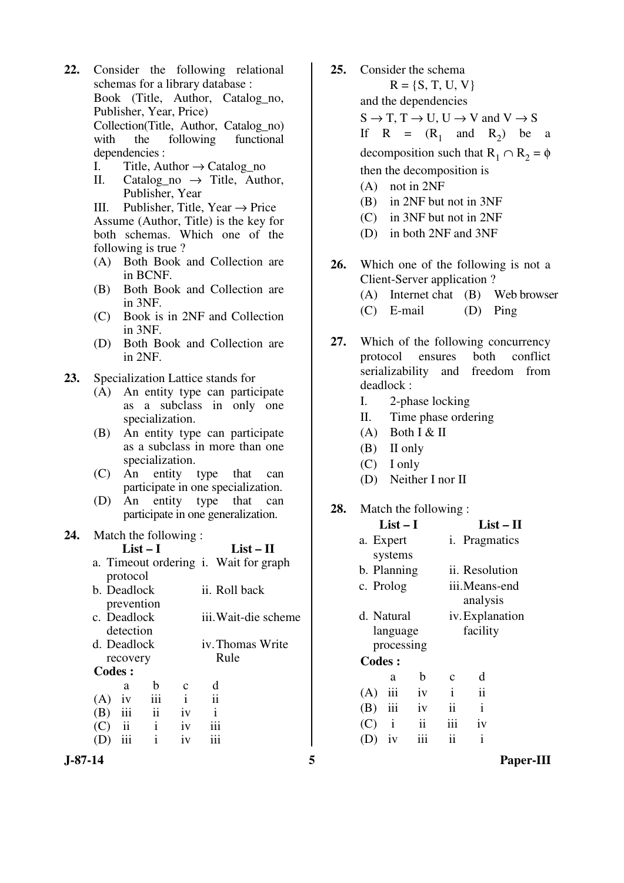- **22.** Consider the following relational schemas for a library database : Book (Title, Author, Catalog\_no, Publisher, Year, Price) Collection(Title, Author, Catalog\_no) with the following functional dependencies :
	- I. Title, Author  $\rightarrow$  Catalog no
	- II. Catalog no  $\rightarrow$  Title, Author, Publisher, Year

III. Publisher, Title, Year  $\rightarrow$  Price Assume (Author, Title) is the key for both schemas. Which one of the following is true ?

- (A) Both Book and Collection are in BCNF.
- (B) Both Book and Collection are in 3NF.
- (C) Book is in 2NF and Collection in 3NF.
- (D) Both Book and Collection are in 2NF.
- **23.** Specialization Lattice stands for
	- (A) An entity type can participate as a subclass in only one specialization.
	- (B) An entity type can participate as a subclass in more than one specialization.
	- (C) An entity type that can participate in one specialization.
	- (D) An entity type that can participate in one generalization.

#### **24.** Match the following :

**List – I List – II** 

- a. Timeout ordering i. Wait for graph protocol
- b. Deadlock prevention ii. Roll back c. Deadlock detection iii. Wait-die scheme d. Deadlock iv. Thomas Write
- recovery Rule  **Codes :**  a b c d
	- $(A)$  iv iii i ii (B) iii ii iv i  $(C)$  ii i iv iii (D) iii i iv iii
- **25.** Consider the schema  $R = \{S, T, U, V\}$  and the dependencies  $S \to T$ ,  $T \to U$ ,  $U \to V$  and  $V \to S$ If  $R = (R_1 \text{ and } R_2)$  be a decomposition such that  $R_1 \cap R_2 = \phi$ then the decomposition is (A) not in 2NF (B) in 2NF but not in 3NF (C) in 3NF but not in 2NF (D) in both 2NF and 3NF
- **26.** Which one of the following is not a Client-Server application ? (A) Internet chat (B) Web browser (C) E-mail (D) Ping
- **27.** Which of the following concurrency protocol ensures both conflict serializability and freedom from deadlock :
	- I. 2-phase locking
	- II. Time phase ordering
	- $(A)$  Both I & II
	- (B) II only
	- (C) I only
	- (D) Neither I nor II

#### **28.** Match the following :

|               | List $-1$   |               |                     |                       | List – II       |  |  |
|---------------|-------------|---------------|---------------------|-----------------------|-----------------|--|--|
|               | a. Expert   |               |                     | <i>i</i> . Pragmatics |                 |  |  |
|               | systems     |               |                     |                       |                 |  |  |
|               | b. Planning |               | ii. Resolution      |                       |                 |  |  |
|               | c. Prolog   |               |                     | iii.Means-end         |                 |  |  |
|               |             |               |                     | analysis              |                 |  |  |
|               | d. Natural  |               |                     |                       | iv. Explanation |  |  |
|               | language    |               |                     |                       | facility        |  |  |
|               | processing  |               |                     |                       |                 |  |  |
| <b>Codes:</b> |             |               |                     |                       |                 |  |  |
|               | a           | b             | C                   | d                     |                 |  |  |
| (A)           | iii         | iv            | $\mathbf{i}$        | ii                    |                 |  |  |
| $(B)$ iii     |             | iv            | ii                  | $\mathbf{i}$          |                 |  |  |
| $(C)$ i       |             | $\mathbf{ii}$ | iii                 | iv                    |                 |  |  |
| (D)           | iv          | iii           | $\ddot{\mathbf{i}}$ | $\mathbf{i}$          |                 |  |  |
|               |             |               |                     |                       |                 |  |  |

**J-87-14 5 Paper-III**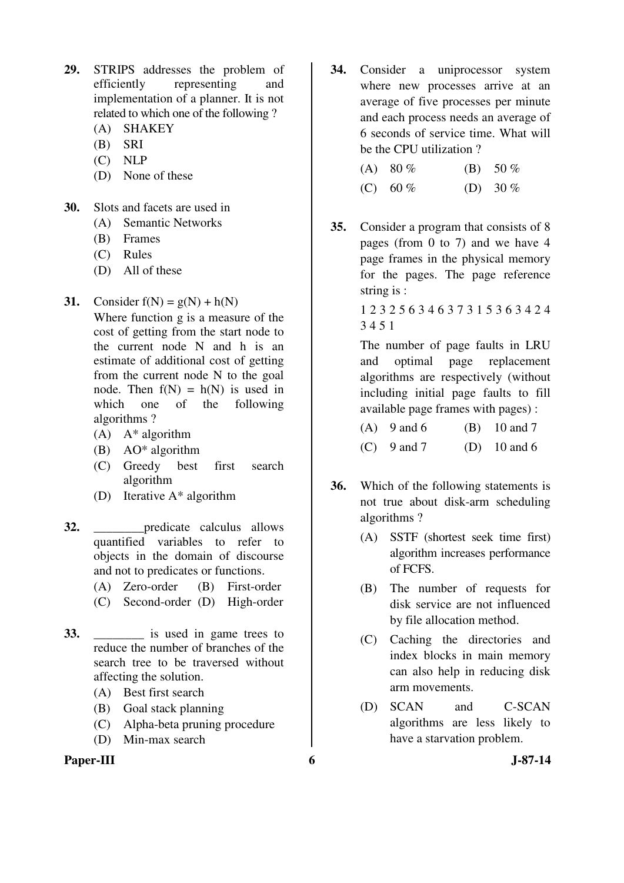- **29.** STRIPS addresses the problem of efficiently representing and implementation of a planner. It is not related to which one of the following ?
	- (A) SHAKEY
	- (B) SRI
	- (C) NLP
	- (D) None of these
- **30.** Slots and facets are used in
	- (A) Semantic Networks
	- (B) Frames
	- (C) Rules
	- (D) All of these
- **31.** Consider  $f(N) = g(N) + h(N)$  Where function g is a measure of the cost of getting from the start node to the current node N and h is an estimate of additional cost of getting from the current node N to the goal node. Then  $f(N) = h(N)$  is used in which one of the following algorithms ?
	- $(A)$   $A^*$  algorithm
	- (B) AO\* algorithm
	- (C) Greedy best first search algorithm
	- (D) Iterative A\* algorithm
- **32.** \_\_\_\_\_\_\_\_predicate calculus allows quantified variables to refer to objects in the domain of discourse and not to predicates or functions.
	- (A) Zero-order (B) First-order
	- (C) Second-order (D) High-order
- **33.** \_\_\_\_\_\_\_\_ is used in game trees to reduce the number of branches of the search tree to be traversed without affecting the solution.
	- (A) Best first search
	- (B) Goal stack planning
	- (C) Alpha-beta pruning procedure
	- (D) Min-max search

## Paper-III 6 J-87-14

**34.** Consider a uniprocessor system where new processes arrive at an average of five processes per minute and each process needs an average of 6 seconds of service time. What will be the CPU utilization ?

| (A) $80\%$ | (B) $50\%$ |
|------------|------------|
| (C) 60 %   | (D) 30 $%$ |

**35.** Consider a program that consists of 8 pages (from 0 to 7) and we have 4 page frames in the physical memory for the pages. The page reference string is :

> 1 2 3 2 5 6 3 4 6 3 7 3 1 5 3 6 3 4 2 4 3 4 5 1

 The number of page faults in LRU and optimal page replacement algorithms are respectively (without including initial page faults to fill available page frames with pages) :

| $(A)$ 9 and 6 | $(B)$ 10 and 7 |
|---------------|----------------|
| $(C)$ 9 and 7 | (D) 10 and 6   |

- **36.** Which of the following statements is not true about disk-arm scheduling algorithms ?
	- (A) SSTF (shortest seek time first) algorithm increases performance of FCFS.
	- (B) The number of requests for disk service are not influenced by file allocation method.
	- (C) Caching the directories and index blocks in main memory can also help in reducing disk arm movements.
	- (D) SCAN and C-SCAN algorithms are less likely to have a starvation problem.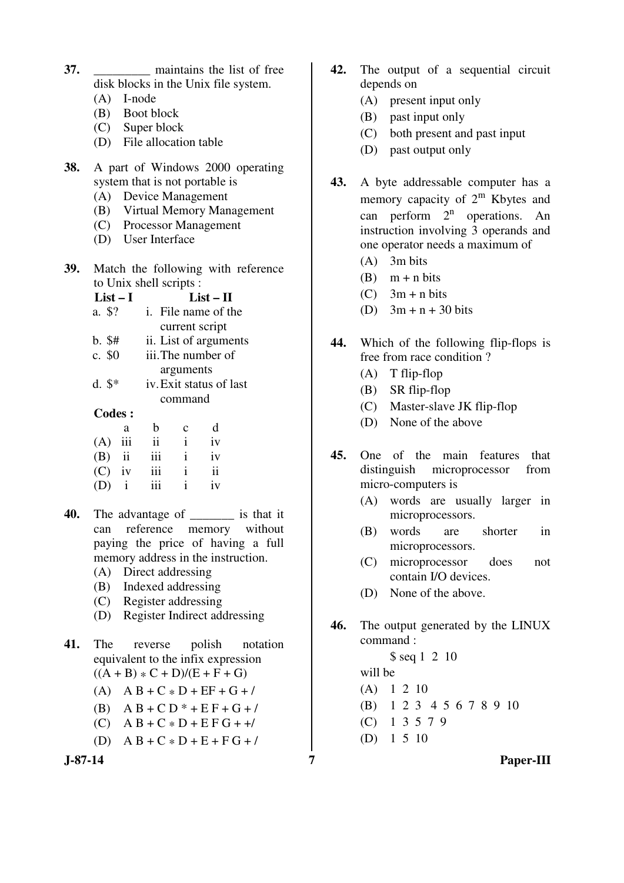- **37. maintains the list of free** disk blocks in the Unix file system.
	- (A) I-node
	- (B) Boot block
	- (C) Super block
	- (D) File allocation table
- **38.** A part of Windows 2000 operating system that is not portable is
	- (A) Device Management
	- (B) Virtual Memory Management
	- (C) Processor Management
	- (D) User Interface
- **39.** Match the following with reference to Unix shell scripts :

| List – I      | List – H                   |              |                       |  |  |
|---------------|----------------------------|--------------|-----------------------|--|--|
| a. \$?        | <i>i.</i> File name of the |              |                       |  |  |
|               |                            |              | current script        |  |  |
| $b.$ \$#      |                            |              | ii. List of arguments |  |  |
| c. $$0$       | iii. The number of         |              |                       |  |  |
|               | arguments                  |              |                       |  |  |
| $d.$ \$*      | iv. Exit status of last    |              |                       |  |  |
|               | command                    |              |                       |  |  |
| <b>Codes:</b> |                            |              |                       |  |  |
| a             | b                          | C            | d                     |  |  |
| iii<br>(A)    | $\mathbf{ii}$              | $\mathbf{i}$ | iv                    |  |  |
| $(B)$ ii      | iii                        | $\mathbf{i}$ | iv                    |  |  |
| $(C)$ iv      | 111                        | $\mathbf{i}$ | $\mathbf{ii}$         |  |  |
| $\mathbf{i}$  |                            | i            | iv                    |  |  |

- **40.** The advantage of \_\_\_\_\_\_\_ is that it can reference memory without paying the price of having a full memory address in the instruction.
	- (A) Direct addressing
	- (B) Indexed addressing
	- (C) Register addressing
	- (D) Register Indirect addressing
- **41.** The reverse polish notation equivalent to the infix expression  $((A + B) * C + D)/(E + F + G)$ 
	- (A)  $AB + C * D + EF + G + /$
	- (B)  $AB + CD * + EF + G + /$
	- (C)  $A B + C * D + E F G + +/$
	- (D)  $A B + C * D + E + F G + /$

- **42.** The output of a sequential circuit depends on
	- (A) present input only
	- (B) past input only
	- (C) both present and past input
	- (D) past output only
- **43.** A byte addressable computer has a memory capacity of  $2^m$  Kbytes and can perform  $2<sup>n</sup>$  operations. An instruction involving 3 operands and one operator needs a maximum of
	- (A) 3m bits
	- $(B)$  m + n bits
	- $(C)$  3m + n bits
	- (D)  $3m + n + 30$  bits
- **44.** Which of the following flip-flops is free from race condition ?
	- (A) T flip-flop
	- (B) SR flip-flop
	- (C) Master-slave JK flip-flop
	- (D) None of the above
- **45.** One of the main features that distinguish microprocessor from micro-computers is
	- (A) words are usually larger in microprocessors.
	- (B) words are shorter in microprocessors.
	- (C) microprocessor does not contain I/O devices.
	- (D) None of the above.
- **46.** The output generated by the LINUX command :

\$ seq 1 2 10

 will be (A) 1 2 10

- (B) 1 2 3 4 5 6 7 8 9 10
- (C) 1 3 5 7 9
- (D) 1 5 10

**J-87-14 7 Paper-III**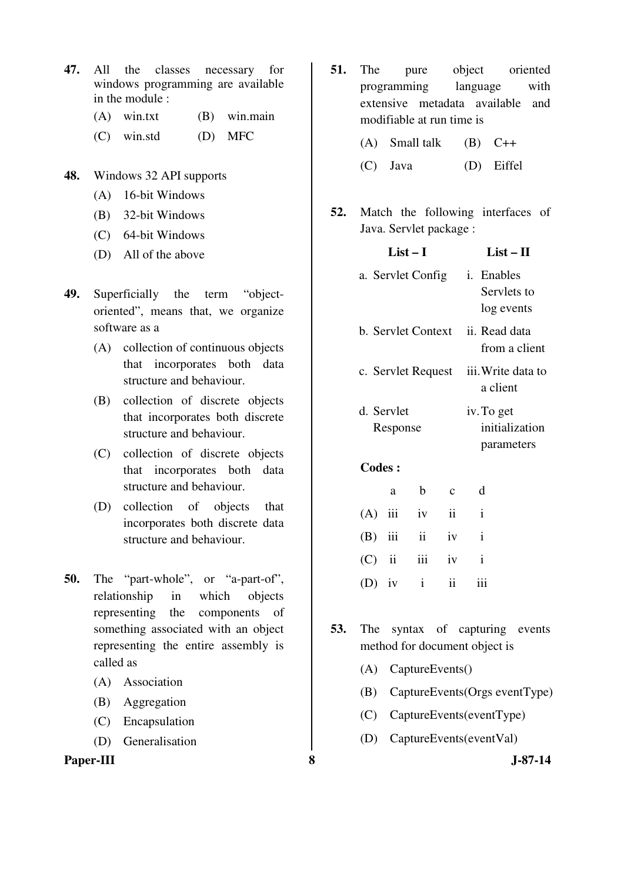- **47.** All the classes necessary for windows programming are available in the module :
	- (A) win.txt (B) win.main
	- (C) win.std (D) MFC
- **48.** Windows 32 API supports
	- (A) 16-bit Windows
	- (B) 32-bit Windows
	- (C) 64-bit Windows
	- (D) All of the above
- **49.** Superficially the term "objectoriented", means that, we organize software as a
	- (A) collection of continuous objects that incorporates both data structure and behaviour.
	- (B) collection of discrete objects that incorporates both discrete structure and behaviour.
	- (C) collection of discrete objects that incorporates both data structure and behaviour.
	- (D) collection of objects that incorporates both discrete data structure and behaviour.
- **50.** The "part-whole", or "a-part-of", relationship in which objects representing the components of something associated with an object representing the entire assembly is called as
	- (A) Association
	- (B) Aggregation
	- (C) Encapsulation
	- (D) Generalisation

**Paper-III** 3 J-87-14

- **51.** The pure object oriented programming language with extensive metadata available and modifiable at run time is
	- (A) Small talk  $(B)$  C++
	- (C) Java (D) Eiffel
- **52.** Match the following interfaces of Java. Servlet package :

**List I List II** 

|               | LISt – 1           |               |                           | LISt – 11    |                                |
|---------------|--------------------|---------------|---------------------------|--------------|--------------------------------|
|               | a. Servlet Config  | i. Enables    | Servlets to<br>log events |              |                                |
|               | b. Servlet Context |               |                           |              | ii. Read data<br>from a client |
|               | c. Servlet Request |               |                           |              | iii. Write data to<br>a client |
|               | d. Servlet         |               |                           | iv. To get   |                                |
| Response      |                    |               |                           |              | initialization                 |
|               |                    |               |                           |              | parameters                     |
| <b>Codes:</b> |                    |               |                           |              |                                |
|               | a                  | b             | $\mathbf{C}$              | d            |                                |
| (A)           | iii                | iv            | ii                        | $\mathbf{i}$ |                                |
| $(B)$ iii     |                    | $\mathbf{ii}$ | iv                        | $\mathbf{i}$ |                                |
| $(C)$ ii      |                    | iii           | iv                        | $\mathbf{i}$ |                                |
| $(D)$ iv      |                    | $\mathbf{i}$  | $\ddot{\rm n}$            | iii          |                                |

- **53.** The syntax of capturing events method for document object is
	- (A) CaptureEvents()
	- (B) CaptureEvents(Orgs eventType)
	- (C) CaptureEvents(eventType)
	- (D) CaptureEvents(eventVal)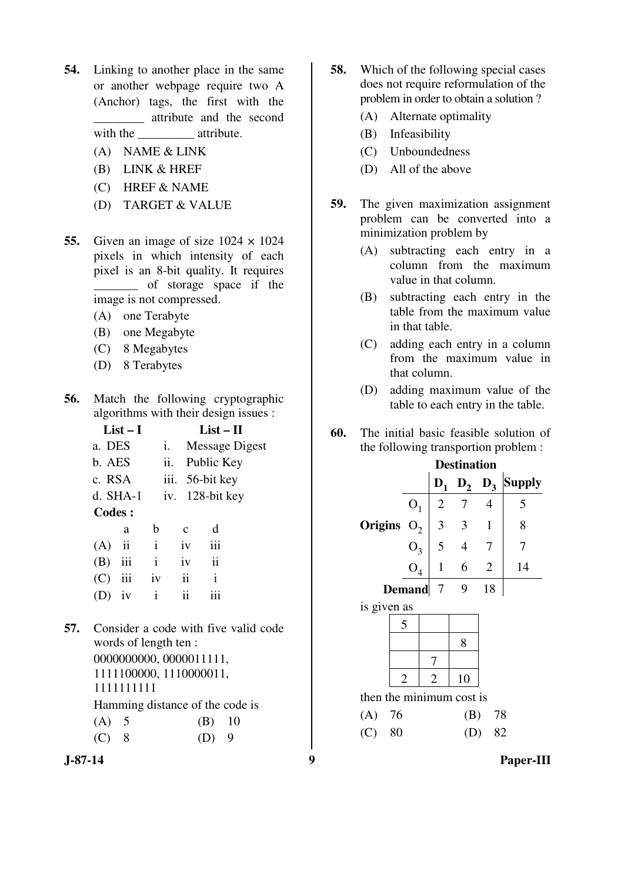- **54.** Linking to another place in the same or another webpage require two A (Anchor) tags, the first with the \_\_\_\_\_\_\_\_ attribute and the second with the \_\_\_\_\_\_\_\_\_ attribute.
	- (A) NAME & LINK
	- (B) LINK & HREF
	- (C) HREF & NAME
	- (D) TARGET & VALUE
- **55.** Given an image of size  $1024 \times 1024$ pixels in which intensity of each pixel is an 8-bit quality. It requires of storage space if the image is not compressed.
	- (A) one Terabyte
	- (B) one Megabyte
	- (C) 8 Megabytes
	- (D) 8 Terabytes
- **56.** Match the following cryptographic algorithms with their design issues :

|               | List – I  |                         |               | List $-$ H |                     |                                      |  |
|---------------|-----------|-------------------------|---------------|------------|---------------------|--------------------------------------|--|
|               | a. DES    |                         |               | i.         |                     | <b>Message Digest</b>                |  |
|               | b. AES    |                         |               | ii.        |                     | Public Key                           |  |
|               | c. RSA    |                         |               | iii.       | 56-bit key          |                                      |  |
|               |           | d. SHA-1                |               |            |                     | iv. 128-bit key                      |  |
| <b>Codes:</b> |           |                         |               |            |                     |                                      |  |
|               |           | a                       | b             |            | $\mathbf{c}$        | d                                    |  |
|               | (A)       | $\overline{\mathbf{u}}$ | $\mathbf{i}$  |            | iv                  | iii                                  |  |
|               | $(B)$ iii |                         | $\mathbf{i}$  |            | iv                  | $\ddot{\rm ii}$                      |  |
|               | $(C)$ iii |                         | $i\mathbf{v}$ |            | $\ddot{\mathbf{i}}$ | $\mathbf{i}$                         |  |
|               | $(D)$ iv  |                         | $\mathbf{i}$  |            | $\ddot{\mathbf{i}}$ | iii                                  |  |
|               |           |                         |               |            |                     |                                      |  |
| 57.           |           |                         |               |            |                     | Consider a code with five valid code |  |
|               |           |                         |               |            |                     |                                      |  |

words of length ten : 0000000000, 0000011111, 1111100000, 1110000011, 1111111111

Hamming distance of the code is

| (A) 5   | $(B)$ 10 |  |
|---------|----------|--|
| $(C)$ 8 | $(D)$ 9  |  |



- **58.** Which of the following special cases does not require reformulation of the problem in order to obtain a solution ?
	- (A) Alternate optimality
	- (B) Infeasibility
	- (C) Unboundedness
	- (D) All of the above
- **59.** The given maximization assignment problem can be converted into a minimization problem by
	- (A) subtracting each entry in a column from the maximum value in that column.
	- (B) subtracting each entry in the table from the maximum value in that table.
	- (C) adding each entry in a column from the maximum value in that column.
	- (D) adding maximum value of the table to each entry in the table.
- **60.** The initial basic feasible solution of the following transportion problem :

|                          |                | <b>Destination</b> |                     |                |                    |
|--------------------------|----------------|--------------------|---------------------|----------------|--------------------|
|                          |                | $D_1$              |                     |                | $D_2$ $D_3$ Supply |
|                          | O <sub>1</sub> | $\overline{2}$     | $\overline{7}$      | $\overline{4}$ | 5                  |
| <b>Origins</b>           | $O_2$          | $\mathbf{3}$       | $\mathbf{3}$        | $\mathbf{1}$   | 8                  |
|                          |                |                    | $5\quad 4$          | 7              | 7                  |
|                          | $O_3$ $O_4$    |                    | $1 \quad 6 \quad 2$ |                | 14                 |
|                          | <b>Demand</b>  | $\overline{7}$     | 9                   | 18             |                    |
| is given as              |                |                    |                     |                |                    |
|                          | 5              |                    |                     |                |                    |
|                          |                |                    | 8                   |                |                    |
|                          |                | 7                  |                     |                |                    |
|                          | $\overline{2}$ | $\overline{2}$     | 10                  |                |                    |
| then the minimum cost is |                |                    |                     |                |                    |
| $(A)$ 76                 |                |                    | (B)                 | 78             |                    |
| (C)<br>80                |                |                    |                     | 82             |                    |
|                          |                |                    |                     |                |                    |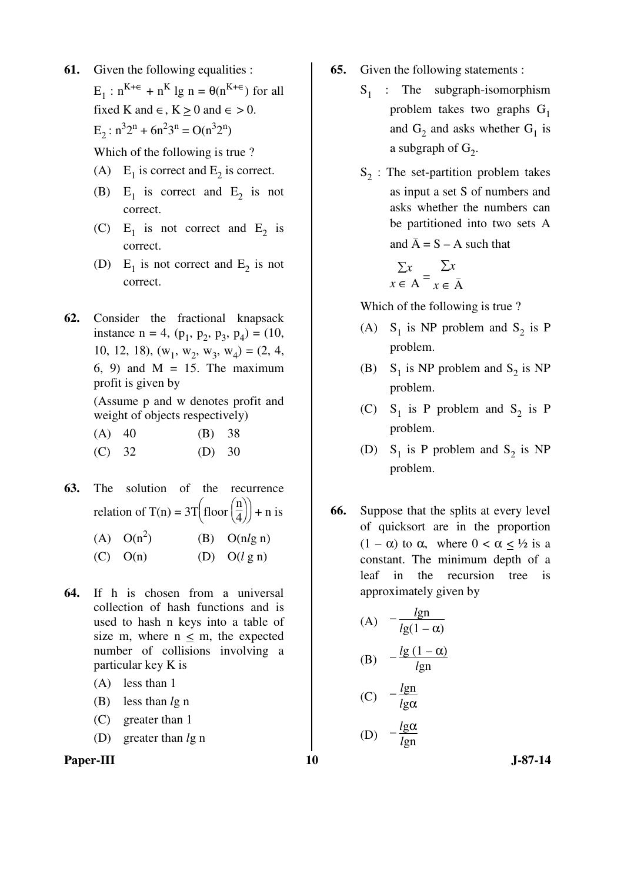**61.** Given the following equalities :

 $E_1$ :  $n^{K+\epsilon}$  +  $n^K$  lg  $n = \theta(n^{K+\epsilon})$  for all fixed K and  $\in$ , K > 0 and  $\in$  > 0.  $E_2$ :  $n^3 2^n + 6n^2 3^n = O(n^3 2^n)$ 

Which of the following is true ?

- (A)  $E_1$  is correct and  $E_2$  is correct.
- (B)  $E_1$  is correct and  $E_2$  is not correct.
- (C)  $E_1$  is not correct and  $E_2$  is correct.
- (D)  $E_1$  is not correct and  $E_2$  is not correct.
- **62.** Consider the fractional knapsack instance  $n = 4$ ,  $(p_1, p_2, p_3, p_4) = (10,$ 10, 12, 18),  $(w_1, w_2, w_3, w_4) = (2, 4,$  $6, 9$  and M = 15. The maximum profit is given by

 (Assume p and w denotes profit and weight of objects respectively)

- (A) 40 (B) 38 (C) 32 (D) 30
- **63.** The solution of the recurrence relation of T(n) =  $3T$  $\bigg)$  $\int$ floor $\left(\right)$  $\left(\frac{\mathbf{n}}{4}\right)$  $\left(\frac{1}{4}\right)$  + n is

(A)  $O(n^2)$ ) (B) O(n*l*g n)

- (C)  $O(n)$  (D)  $O(l \nvert g n)$
- **64.** If h is chosen from a universal collection of hash functions and is used to hash n keys into a table of size m, where  $n < m$ , the expected number of collisions involving a particular key K is
	- (A) less than 1
	- (B) less than *l*g n
	- (C) greater than 1
	- (D) greater than *l*g n
- Paper-III **10** J-87-14
- **65.** Given the following statements :
	- $S_1$  : The subgraph-isomorphism problem takes two graphs  $G_1$ and  $G_2$  and asks whether  $G_1$  is a subgraph of  $G_2$ .
- $S_2$ : The set-partition problem takes as input a set S of numbers and asks whether the numbers can be partitioned into two sets A and  $\overline{A} = S - A$  such that

$$
\sum x \le A = \sum x
$$
  

$$
x \in A = x \in \overline{A}
$$

Which of the following is true ?

- (A)  $S_1$  is NP problem and  $S_2$  is P problem.
- (B)  $S_1$  is NP problem and  $S_2$  is NP problem.
- (C)  $S_1$  is P problem and  $S_2$  is P problem.
- (D)  $S_1$  is P problem and  $S_2$  is NP problem.
- **66.** Suppose that the splits at every level of quicksort are in the proportion  $(1 - \alpha)$  to  $\alpha$ , where  $0 < \alpha \leq \frac{1}{2}$  is a constant. The minimum depth of a leaf in the recursion tree is approximately given by

(A) 
$$
-\frac{lgn}{lg(1-\alpha)}
$$
  
\n(B) 
$$
-\frac{lg(1-\alpha)}{lgn}
$$
  
\n(C) 
$$
-\frac{lgn}{lg\alpha}
$$
  
\n(D) 
$$
-\frac{lg\alpha}{lgn}
$$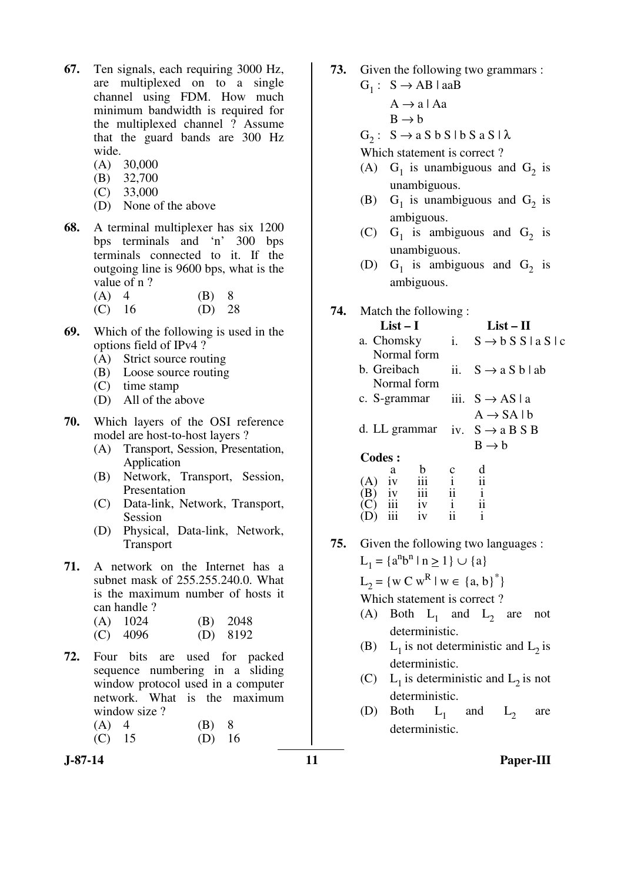- **67.** Ten signals, each requiring 3000 Hz, are multiplexed on to a single channel using FDM. How much minimum bandwidth is required for the multiplexed channel ? Assume that the guard bands are 300 Hz wide.
	- (A) 30,000
	- (B) 32,700
	- (C) 33,000
	- (D) None of the above
- **68.** A terminal multiplexer has six 1200 bps terminals and 'n' 300 bps terminals connected to it. If the outgoing line is 9600 bps, what is the value of n ?

| (A) 4    | $(B)$ 8 |  |
|----------|---------|--|
| $(C)$ 16 | (D) 28  |  |

- **69.** Which of the following is used in the options field of IPv4 ?
	- (A) Strict source routing
	- (B) Loose source routing
	- (C) time stamp
	- (D) All of the above
- **70.** Which layers of the OSI reference model are host-to-host layers ?
	- (A) Transport, Session, Presentation, Application
	- (B) Network, Transport, Session, Presentation
	- (C) Data-link, Network, Transport, Session
	- (D) Physical, Data-link, Network, Transport
- **71.** A network on the Internet has a subnet mask of 255.255.240.0. What is the maximum number of hosts it can handle ?

| $(A)$ 1024 | $(B)$ 2048 |
|------------|------------|
| $(C)$ 4096 | $(D)$ 8192 |

- **72.** Four bits are used for packed sequence numbering in a sliding window protocol used in a computer network. What is the maximum window size ?
	- (A) 4 (B) 8 (C) 15 (D) 16
- **73.** Given the following two grammars :
- $G_1: S \rightarrow AB \mid aaB$ 
	- $A \rightarrow a \mid Aa$
	- $B \rightarrow b$
- $G_2: S \rightarrow a S b S b S s A S A$

Which statement is correct ?

- (A)  $G_1$  is unambiguous and  $G_2$  is unambiguous.
- (B)  $G_1$  is unambiguous and  $G_2$  is ambiguous.
- (C)  $G_1$  is ambiguous and  $G_2$  is unambiguous.
- (D)  $G_1$  is ambiguous and  $G_2$  is ambiguous.

### **74.** Match the following :

| List $-1$                                 | List – H                  |                                 |  |  |
|-------------------------------------------|---------------------------|---------------------------------|--|--|
| a. Chomsky                                | $\mathbf{i}$              | $S \rightarrow b S S$   a S   c |  |  |
| Normal form                               |                           |                                 |  |  |
| b. Greibach                               | ii.                       | $S \rightarrow a S b   ab$      |  |  |
| Normal form                               |                           |                                 |  |  |
| c. S-grammar                              |                           | iii. $S \rightarrow AS \mid a$  |  |  |
|                                           |                           | $A \rightarrow SA \mid b$       |  |  |
| d. LL grammar iv. $S \rightarrow a B S B$ |                           |                                 |  |  |
|                                           |                           | $B \rightarrow b$               |  |  |
| <b>Codes:</b>                             |                           |                                 |  |  |
| h<br>a                                    |                           |                                 |  |  |
| iii<br>iv<br>(A)                          | $\overline{\overline{i}}$ | $\mathbf{ii}$                   |  |  |
| iii<br>В                                  | ii                        | $\mathbf{i}$<br>$\overline{11}$ |  |  |
| 1V<br>iv                                  | $\mathbf{i}$              | i                               |  |  |
|                                           |                           |                                 |  |  |

**75.** Given the following two languages :  $L_1 = \{a^n b^n \mid n \ge 1\} \cup \{a\}$  $L_2 = \{ w \subset w^R \mid w \in \{a, b\}^* \}$ 

Which statement is correct ?

- (A) Both  $L_1$  and  $L_2$  are not deterministic.
	- (B)  $L_1$  is not deterministic and  $L_2$  is deterministic.
	- (C) L<sub>1</sub> is deterministic and L<sub>2</sub> is not deterministic.
- (D) Both  $L_1$  and  $L_2$  are deterministic.